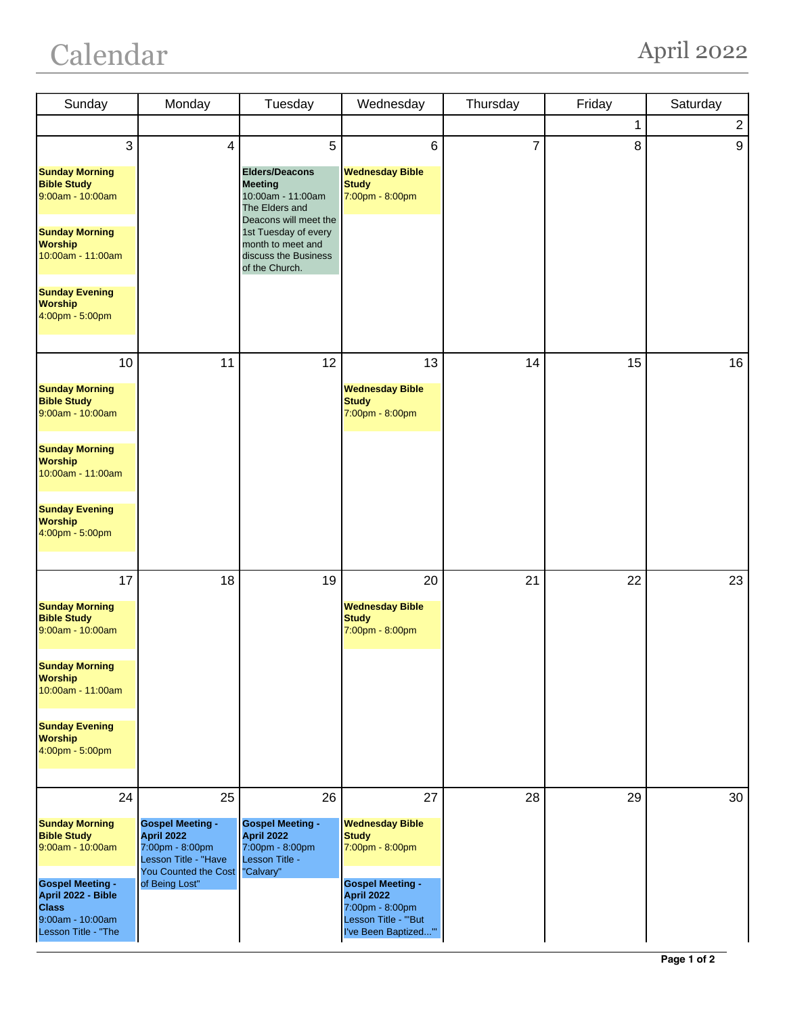## Calendar April 2022

| Sunday                                                                                                                                                                                              | Monday                                                                                                                                  | Tuesday                                                                                                                                                                                             | Wednesday                                                                                                                                                                          | Thursday       | Friday | Saturday       |
|-----------------------------------------------------------------------------------------------------------------------------------------------------------------------------------------------------|-----------------------------------------------------------------------------------------------------------------------------------------|-----------------------------------------------------------------------------------------------------------------------------------------------------------------------------------------------------|------------------------------------------------------------------------------------------------------------------------------------------------------------------------------------|----------------|--------|----------------|
|                                                                                                                                                                                                     |                                                                                                                                         |                                                                                                                                                                                                     |                                                                                                                                                                                    |                | 1      | $\overline{a}$ |
| 3<br><b>Sunday Morning</b><br><b>Bible Study</b><br>9:00am - 10:00am<br><b>Sunday Morning</b><br><b>Worship</b><br>10:00am - 11:00am<br><b>Sunday Evening</b><br><b>Worship</b><br>4:00pm - 5:00pm  | $\overline{\mathbf{4}}$                                                                                                                 | 5<br><b>Elders/Deacons</b><br><b>Meeting</b><br>10:00am - 11:00am<br>The Elders and<br>Deacons will meet the<br>1st Tuesday of every<br>month to meet and<br>discuss the Business<br>of the Church. | 6<br><b>Wednesday Bible</b><br><b>Study</b><br>7:00pm - 8:00pm                                                                                                                     | $\overline{7}$ | 8      | 9              |
| 10<br><b>Sunday Morning</b><br><b>Bible Study</b><br>9:00am - 10:00am                                                                                                                               | 11                                                                                                                                      | 12                                                                                                                                                                                                  | 13<br><b>Wednesday Bible</b><br><b>Study</b><br>7:00pm - 8:00pm                                                                                                                    | 14             | 15     | 16             |
| <b>Sunday Morning</b><br><b>Worship</b><br>10:00am - 11:00am<br><b>Sunday Evening</b><br><b>Worship</b><br>4:00pm - 5:00pm                                                                          |                                                                                                                                         |                                                                                                                                                                                                     |                                                                                                                                                                                    |                |        |                |
| 17<br><b>Sunday Morning</b><br><b>Bible Study</b><br>9:00am - 10:00am<br><b>Sunday Morning</b><br><b>Worship</b><br>10:00am - 11:00am<br><b>Sunday Evening</b><br><b>Worship</b><br>4:00pm - 5:00pm | 18                                                                                                                                      | 19                                                                                                                                                                                                  | 20<br><b>Wednesday Bible</b><br><b>Study</b><br>7:00pm - 8:00pm                                                                                                                    | 21             | 22     | 23             |
| 24<br><b>Sunday Morning</b><br><b>Bible Study</b><br>9:00am - 10:00am<br><b>Gospel Meeting -</b><br>April 2022 - Bible<br><b>Class</b><br>9:00am - 10:00am<br>Lesson Title - "The                   | 25<br><b>Gospel Meeting -</b><br><b>April 2022</b><br>7:00pm - 8:00pm<br>Lesson Title - "Have<br>You Counted the Cost<br>of Being Lost" | 26<br><b>Gospel Meeting -</b><br>April 2022<br>7:00pm - 8:00pm<br>Lesson Title -<br>"Calvary"                                                                                                       | 27<br><b>Wednesday Bible</b><br><b>Study</b><br>7:00pm - 8:00pm<br><b>Gospel Meeting -</b><br><b>April 2022</b><br>7:00pm - 8:00pm<br>Lesson Title - "'But<br>I've Been Baptized"" | 28             | 29     | 30             |